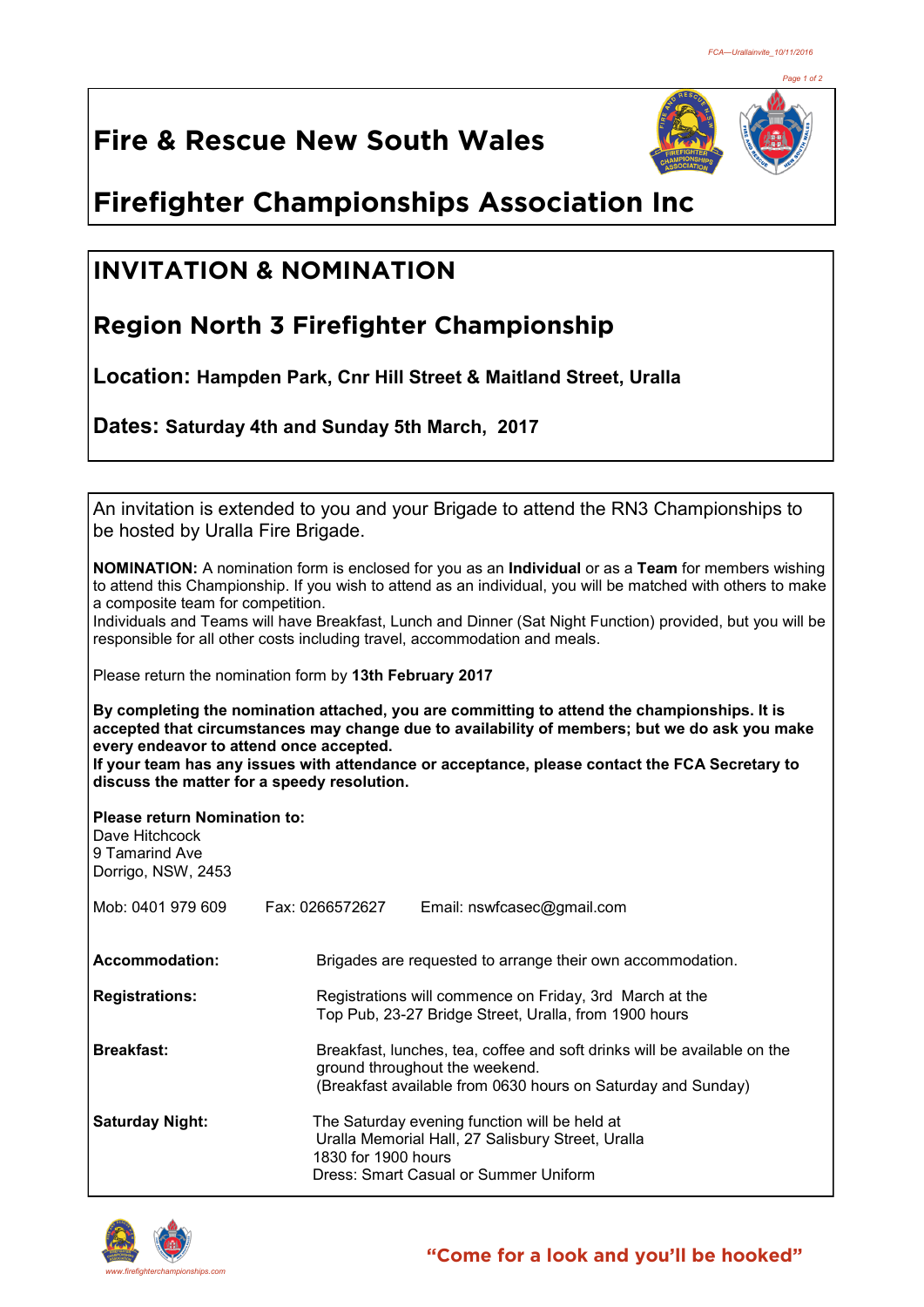*Page 1 of 2*

# **Fire & Rescue New South Wales**



# **Firefighter Championships Association Inc**

### **INVITATION & NOMINATION**

## **Region North 3 Firefighter Championship**

**Location: Hampden Park, Cnr Hill Street & Maitland Street, Uralla**

**Dates: Saturday 4th and Sunday 5th March, 2017** 

An invitation is extended to you and your Brigade to attend the RN3 Championships to be hosted by Uralla Fire Brigade.

**NOMINATION:** A nomination form is enclosed for you as an **Individual** or as a **Team** for members wishing to attend this Championship. If you wish to attend as an individual, you will be matched with others to make a composite team for competition.

Individuals and Teams will have Breakfast, Lunch and Dinner (Sat Night Function) provided, but you will be responsible for all other costs including travel, accommodation and meals.

Please return the nomination form by **13th February 2017**

**By completing the nomination attached, you are committing to attend the championships. It is accepted that circumstances may change due to availability of members; but we do ask you make every endeavor to attend once accepted. If your team has any issues with attendance or acceptance, please contact the FCA Secretary to** 

**discuss the matter for a speedy resolution.**

**Please return Nomination to:** Dave Hitchcock

| 9 Tamarind Ave     |  |  |  |  |
|--------------------|--|--|--|--|
| Dorrigo, NSW, 2453 |  |  |  |  |

| Mob: 0401 979 609      | Fax: 0266572627                                                                                                                                                            | Email: nswfcasec@gmail.com                                                                                                                  |  |
|------------------------|----------------------------------------------------------------------------------------------------------------------------------------------------------------------------|---------------------------------------------------------------------------------------------------------------------------------------------|--|
| Accommodation:         |                                                                                                                                                                            | Brigades are requested to arrange their own accommodation.                                                                                  |  |
| <b>Registrations:</b>  | Registrations will commence on Friday, 3rd March at the<br>Top Pub, 23-27 Bridge Street, Uralla, from 1900 hours                                                           |                                                                                                                                             |  |
| <b>Breakfast:</b>      | Breakfast, lunches, tea, coffee and soft drinks will be available on the<br>ground throughout the weekend.<br>(Breakfast available from 0630 hours on Saturday and Sunday) |                                                                                                                                             |  |
| <b>Saturday Night:</b> | 1830 for 1900 hours                                                                                                                                                        | The Saturday evening function will be held at<br>Uralla Memorial Hall, 27 Salisbury Street, Uralla<br>Dress: Smart Casual or Summer Uniform |  |